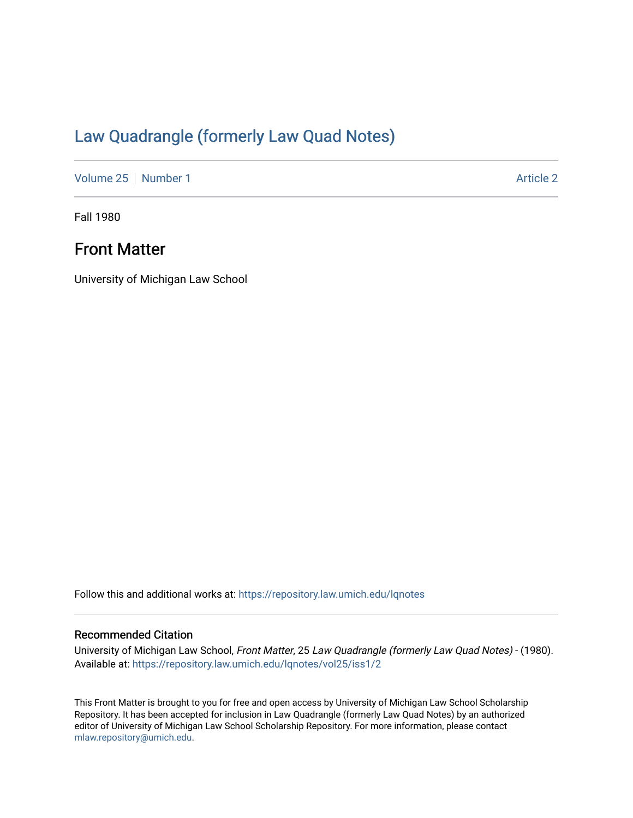## [Law Quadrangle \(formerly Law Quad Notes\)](https://repository.law.umich.edu/lqnotes)

[Volume 25](https://repository.law.umich.edu/lqnotes/vol25) [Number 1](https://repository.law.umich.edu/lqnotes/vol25/iss1) Article 2

Fall 1980

## Front Matter

University of Michigan Law School

Follow this and additional works at: [https://repository.law.umich.edu/lqnotes](https://repository.law.umich.edu/lqnotes?utm_source=repository.law.umich.edu%2Flqnotes%2Fvol25%2Fiss1%2F2&utm_medium=PDF&utm_campaign=PDFCoverPages) 

## Recommended Citation

University of Michigan Law School, Front Matter, 25 Law Quadrangle (formerly Law Quad Notes) - (1980). Available at: [https://repository.law.umich.edu/lqnotes/vol25/iss1/2](https://repository.law.umich.edu/lqnotes/vol25/iss1/2?utm_source=repository.law.umich.edu%2Flqnotes%2Fvol25%2Fiss1%2F2&utm_medium=PDF&utm_campaign=PDFCoverPages) 

This Front Matter is brought to you for free and open access by University of Michigan Law School Scholarship Repository. It has been accepted for inclusion in Law Quadrangle (formerly Law Quad Notes) by an authorized editor of University of Michigan Law School Scholarship Repository. For more information, please contact [mlaw.repository@umich.edu.](mailto:mlaw.repository@umich.edu)